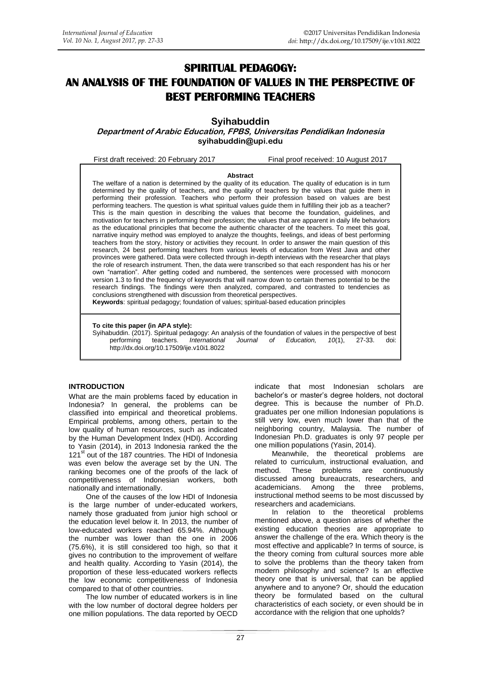# **SPIRITUAL PEDAGOGY: AN ANALYSIS OF THE FOUNDATION OF VALUES IN THE PERSPECTIVE OF BEST PERFORMING TEACHERS**

**Syihabuddin**

**Department of Arabic Education, FPBS, Universitas Pendidikan Indonesia [syihabuddin@upi.edu](mailto:syihabuddin@upi.edu)**

First draft received: 20 February 2017 Final proof received: 10 August 2017

#### **Abstract**

The welfare of a nation is determined by the quality of its education. The quality of education is in turn determined by the quality of teachers, and the quality of teachers by the values that guide them in performing their profession. Teachers who perform their profession based on values are best performing teachers. The question is what spiritual values guide them in fulfilling their job as a teacher? This is the main question in describing the values that become the foundation, guidelines, and motivation for teachers in performing their profession; the values that are apparent in daily life behaviors as the educational principles that become the authentic character of the teachers. To meet this goal, narrative inquiry method was employed to analyze the thoughts, feelings, and ideas of best performing teachers from the story, history or activities they recount. In order to answer the main question of this research, 24 best performing teachers from various levels of education from West Java and other provinces were gathered. Data were collected through in-depth interviews with the researcher that plays the role of research instrument. Then, the data were transcribed so that each respondent has his or her own "narration". After getting coded and numbered, the sentences were processed with monocorn version 1.3 to find the frequency of keywords that will narrow down to certain themes potential to be the research findings. The findings were then analyzed, compared, and contrasted to tendencies as conclusions strengthened with discussion from theoretical perspectives.

**Keywords**: spiritual pedagogy; foundation of values; spiritual-based education principles

**To cite this paper (in APA style):**

Syihabuddin. (2017). Spiritual pedagogy: An analysis of the foundation of values in the perspective of best<br>performing teachers. International Journal of Education, 10(1), 27-33. doi: *International* http://dx.doi.org/10.17509/ije.v10i1.8022

### **INTRODUCTION**

What are the main problems faced by education in Indonesia? In general, the problems can be classified into empirical and theoretical problems. Empirical problems, among others, pertain to the low quality of human resources, such as indicated by the Human Development Index (HDI). According to Yasin (2014), in 2013 Indonesia ranked the the 121<sup>st</sup> out of the 187 countries. The HDI of Indonesia was even below the average set by the UN. The ranking becomes one of the proofs of the lack of competitiveness of Indonesian workers, both nationally and internationally.

One of the causes of the low HDI of Indonesia is the large number of under-educated workers, namely those graduated from junior high school or the education level below it. In 2013, the number of low-educated workers reached 65.94%. Although the number was lower than the one in 2006 (75.6%), it is still considered too high, so that it gives no contribution to the improvement of welfare and health quality. According to Yasin (2014), the proportion of these less-educated workers reflects the low economic competitiveness of Indonesia compared to that of other countries.

The low number of educated workers is in line with the low number of doctoral degree holders per one million populations. The data reported by OECD indicate that most Indonesian scholars are bachelor's or master's degree holders, not doctoral degree. This is because the number of Ph.D. graduates per one million Indonesian populations is still very low, even much lower than that of the neighboring country, Malaysia. The number of Indonesian Ph.D. graduates is only 97 people per one million populations (Yasin, 2014).

Meanwhile, the theoretical problems are related to curriculum, instructional evaluation, and method. These problems are continuously discussed among bureaucrats, researchers, and academicians. Among the three problems, instructional method seems to be most discussed by researchers and academicians.

In relation to the theoretical problems mentioned above, a question arises of whether the existing education theories are appropriate to answer the challenge of the era. Which theory is the most effective and applicable? In terms of source, is the theory coming from cultural sources more able to solve the problems than the theory taken from modern philosophy and science? Is an effective theory one that is universal, that can be applied anywhere and to anyone? Or, should the education theory be formulated based on the cultural characteristics of each society, or even should be in accordance with the religion that one upholds?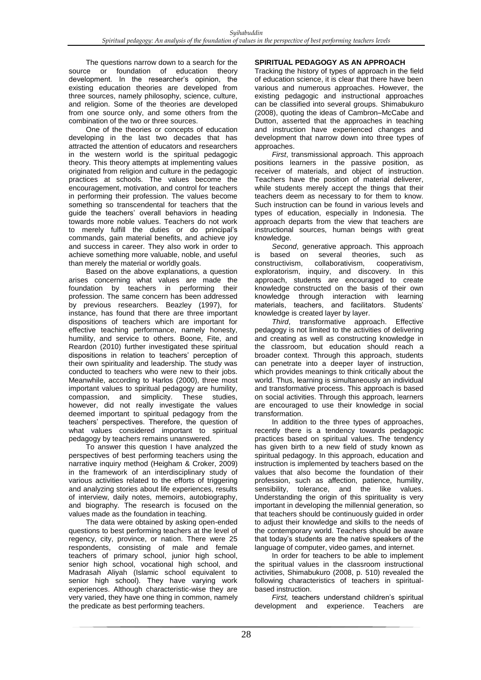The questions narrow down to a search for the source or foundation of education theory development. In the researcher's opinion, the existing education theories are developed from three sources, namely philosophy, science, culture, and religion. Some of the theories are developed from one source only, and some others from the combination of the two or three sources.

One of the theories or concepts of education developing in the last two decades that has attracted the attention of educators and researchers in the western world is the spiritual pedagogic theory. This theory attempts at implementing values originated from religion and culture in the pedagogic practices at schools. The values become the encouragement, motivation, and control for teachers in performing their profession. The values become something so transcendental for teachers that the guide the teachers' overall behaviors in heading towards more noble values. Teachers do not work to merely fulfill the duties or do principal's commands, gain material benefits, and achieve joy and success in career. They also work in order to achieve something more valuable, noble, and useful than merely the material or worldly goals.

Based on the above explanations, a question arises concerning what values are made the foundation by teachers in performing their profession. The same concern has been addressed by previous researchers. Beazley (1997), for instance, has found that there are three important dispositions of teachers which are important for effective teaching performance, namely honesty, humility, and service to others. Boone, Fite, and Reardon (2010) further investigated these spiritual dispositions in relation to teachers' perception of their own spirituality and leadership. The study was conducted to teachers who were new to their jobs. Meanwhile, according to Harlos (2000), three most important values to spiritual pedagogy are humility, compassion, and simplicity. These studies, however, did not really investigate the values deemed important to spiritual pedagogy from the teachers' perspectives. Therefore, the question of what values considered important to spiritual pedagogy by teachers remains unanswered.

To answer this question I have analyzed the perspectives of best performing teachers using the narrative inquiry method (Heigham & Croker, 2009) in the framework of an interdisciplinary study of various activities related to the efforts of triggering and analyzing stories about life experiences, results of interview, daily notes, memoirs, autobiography, and biography. The research is focused on the values made as the foundation in teaching.

The data were obtained by asking open-ended questions to best performing teachers at the level of regency, city, province, or nation. There were 25 respondents, consisting of male and female teachers of primary school, junior high school, senior high school, vocational high school, and Madrasah Aliyah (Islamic school equivalent to senior high school). They have varying work experiences. Although characteristic-wise they are very varied, they have one thing in common, namely the predicate as best performing teachers.

## **SPIRITUAL PEDAGOGY AS AN APPROACH**

Tracking the history of types of approach in the field of education science, it is clear that there have been various and numerous approaches. However, the existing pedagogic and instructional approaches can be classified into several groups. Shimabukuro (2008), quoting the ideas of Cambron–McCabe and Dutton, asserted that the approaches in teaching and instruction have experienced changes and development that narrow down into three types of approaches.

*First*, transmissional approach. This approach positions learners in the passive position, as receiver of materials, and object of instruction. Teachers have the position of material deliverer, while students merely accept the things that their teachers deem as necessary to for them to know. Such instruction can be found in various levels and types of education, especially in Indonesia. The approach departs from the view that teachers are instructional sources, human beings with great knowledge

*Second*, generative approach. This approach is based on several theories, such as<br>constructivism. collaborativism. cooperativism. constructivism, exploratorism, inquiry, and discovery. In this approach, students are encouraged to create knowledge constructed on the basis of their own knowledge through interaction with learning materials, teachers, and facilitators. Students' knowledge is created layer by layer.

*Third*, transformative approach. Effective pedagogy is not limited to the activities of delivering and creating as well as constructing knowledge in the classroom, but education should reach a broader context. Through this approach, students can penetrate into a deeper layer of instruction, which provides meanings to think critically about the world. Thus, learning is simultaneously an individual and transformative process. This approach is based on social activities. Through this approach, learners are encouraged to use their knowledge in social transformation.

In addition to the three types of approaches, recently there is a tendency towards pedagogic practices based on spiritual values. The tendency has given birth to a new field of study known as spiritual pedagogy. In this approach, education and instruction is implemented by teachers based on the values that also become the foundation of their profession, such as affection, patience, humility, sensibility, tolerance, and the like values. Understanding the origin of this spirituality is very important in developing the millennial generation, so that teachers should be continuously guided in order to adjust their knowledge and skills to the needs of the contemporary world. Teachers should be aware that today's students are the native speakers of the language of computer, video games, and internet.

In order for teachers to be able to implement the spiritual values in the classroom instructional activities, Shimabukuro (2008, p. 510) revealed the following characteristics of teachers in spiritualbased instruction.

*First,* teachers understand children's spiritual development and experience. Teachers are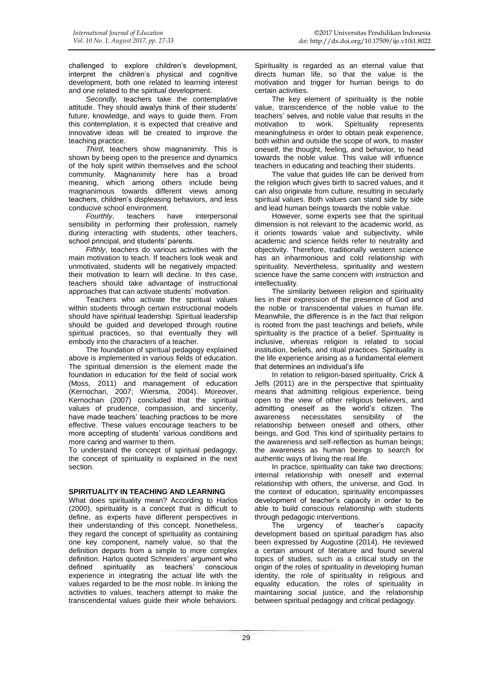challenged to explore children's development, interpret the children's physical and cognitive development, both one related to learning interest and one related to the spiritual development.

*Secondly,* teachers take the contemplative attitude. They should awalys think of their students' future, knowledge, and ways to guide them. From this contemplation, it is expected that creative and innovative ideas will be created to improve the teaching practice.

*Third*, teachers show magnanimity. This is shown by being open to the presence and dynamics of the holy spirit within themselves and the school community. Magnanimity here has a broad meaning, which among others include being magnanimous towards different views among teachers, children's displeasing behaviors, and less conducive school environment.<br>Fourthly teachers have

*Fourthly*, teachers have interpersonal sensibility in performing their profession, namely during interacting with students, other teachers, school principal, and students' parents.

*Fifthly*, teachers do various activities with the main motivation to teach. If teachers look weak and unmotivated, students will be negatively impacted: their motivation to learn will decline. In this case, teachers should take advantage of instructional approaches that can activate students' motivation.

Teachers who activate the spiritual values within students through certain instructional models should have spiritual leadership. Spiritual leadership should be guided and developed through routine spiritual practices, so that eventually they will embody into the characters of a teacher.

The foundation of spiritual pedagogy explained above is implemented in various fields of education. The spiritual dimension is the element made the foundation in education for the field of social work (Moss, 2011) and management of education (Kernochan, 2007; Wiersma, 2004). Moreover, Kernochan (2007) concluded that the spiritual values of prudence, compassion, and sincerity, have made teachers' teaching practices to be more effective. These values encourage teachers to be more accepting of students' various conditions and more caring and warmer to them.

To understand the concept of spiritual pedagogy, the concept of spirituality is explained in the next section.

### **SPIRITUALITY IN TEACHING AND LEARNING**

What does spirituality mean? According to Harlos (2000), spirituality is a concept that is difficult to define, as experts have different perspectives in their understanding of this concept. Nonetheless, they regard the concept of spirituality as containing one key component, namely value, so that the definition departs from a simple to more complex definition. Harlos quoted Schneiders' argument who defined spirituality as teachers' conscious experience in integrating the actual life with the values regarded to be the most noble. In linking the activities to values, teachers attempt to make the transcendental values guide their whole behaviors.

Spirituality is regarded as an eternal value that directs human life, so that the value is the motivation and trigger for human beings to do certain activities.

The key element of spirituality is the noble value, transcendence of the noble value to the teachers' selves, and noble value that results in the motivation to work. Spirituality represents meaningfulness in order to obtain peak experience, both within and outside the scope of work, to master oneself, the thought, feeling, and behavior, to head towards the noble value. This value will influence teachers in educating and teaching their students.

The value that guides life can be derived from the religion which gives birth to sacred values, and it can also originate from culture, resulting in secularly spiritual values. Both values can stand side by side and lead human beings towards the noble value.

However, some experts see that the spiritual dimension is not relevant to the academic world, as it orients towards value and subjectivity, while academic and science fields refer to neutrality and objectivity. Therefore, traditionally western science has an inharmonious and cold relationship with spirituality. Nevertheless, spirituality and western science have the same concern with instruction and intellectuality.

The similarity between religion and spirituality lies in their expression of the presence of God and the noble or transcendental values in human life. Meanwhile, the difference is in the fact that religion is rooted from the past teachings and beliefs, while spirituality is the practice of a belief. Spirituality is inclusive, whereas religion is related to social institution, beliefs, and ritual practices. Spirituality is the life experience arising as a fundamental element that determines an individual's life

In relation to religion-based spirituality, Crick & Jelfs (2011) are in the perspective that spirituality means that admitting religious experience, being open to the view of other religious believers, and admitting oneself as the world's citizen. The awareness necessitates sensibility of the relationship between oneself and others, other beings, and God. This kind of spirituality pertains to the awareness and self-reflection as human beings; the awareness as human beings to search for authentic ways of living the real life.

In practice, spirituality can take two directions: internal relationship with oneself and external relationship with others, the universe, and God. In the context of education, spirituality encompasses development of teacher's capacity in order to be able to build conscious relationship with students through pedagogic interventions.

The urgency of teacher's capacity development based on spiritual paradigm has also been expressed by Augustine (2014). He reviewed a certain amount of literature and found several topics of studies, such as a critical study on the origin of the roles of spirituality in developing human identity, the role of spirituality in religious and equality education, the roles of spirituality in maintaining social justice, and the relationship between spiritual pedagogy and critical pedagogy.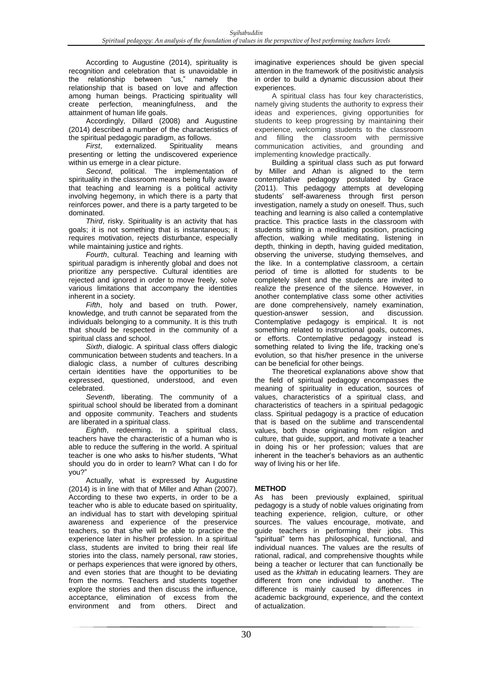According to Augustine (2014), spirituality is recognition and celebration that is unavoidable in the relationship between "us," namely the relationship that is based on love and affection among human beings. Practicing spirituality will<br>create perfection, meaningfulness, and the create perfection, meaningfulness, attainment of human life goals.

Accordingly, Dillard (2008) and Augustine (2014) described a number of the characteristics of the spiritual pedagogic paradigm, as follows.<br>First, externalized. Spirituality

externalized. Spirituality means presenting or letting the undiscovered experience within us emerge in a clear picture.

*Second*, political. The implementation of spirituality in the classroom means being fully aware that teaching and learning is a political activity involving hegemony, in which there is a party that reinforces power, and there is a party targeted to be dominated.

*Third*, risky. Spirituality is an activity that has goals; it is not something that is instantaneous; it requires motivation, rejects disturbance, especially while maintaining justice and rights.

*Fourth*, cultural. Teaching and learning with spiritual paradigm is inherently global and does not prioritize any perspective. Cultural identities are rejected and ignored in order to move freely, solve various limitations that accompany the identities inherent in a society.

*Fifth*, holy and based on truth. Power, knowledge, and truth cannot be separated from the individuals belonging to a community. It is this truth that should be respected in the community of a spiritual class and school.

*Sixth*, dialogic. A spiritual class offers dialogic communication between students and teachers. In a dialogic class, a number of cultures describing certain identities have the opportunities to be expressed, questioned, understood, and even celebrated.

*Seventh*, liberating. The community of a spiritual school should be liberated from a dominant and opposite community. Teachers and students are liberated in a spiritual class.

*Eighth*, redeeming. In a spiritual class, teachers have the characteristic of a human who is able to reduce the suffering in the world. A spiritual teacher is one who asks to his/her students, "What should you do in order to learn? What can I do for you?"

Actually, what is expressed by Augustine (2014) is in line with that of Miller and Athan (2007). According to these two experts, in order to be a teacher who is able to educate based on spirituality, an individual has to start with developing spiritual awareness and experience of the preservice teachers, so that s/he will be able to practice the experience later in his/her profession. In a spiritual class, students are invited to bring their real life stories into the class, namely personal, raw stories, or perhaps experiences that were ignored by others, and even stories that are thought to be deviating from the norms. Teachers and students together explore the stories and then discuss the influence, acceptance, elimination of excess from the environment and from others. Direct and

imaginative experiences should be given special attention in the framework of the positivistic analysis in order to build a dynamic discussion about their experiences.

A spiritual class has four key characteristics, namely giving students the authority to express their ideas and experiences, giving opportunities for students to keep progressing by maintaining their experience, welcoming students to the classroom<br>and filling the classroom with permissive filling the classroom with permissive communication activities, and grounding and implementing knowledge practically.

Building a spiritual class such as put forward by Miller and Athan is aligned to the term contemplative pedagogy postulated by Grace (2011). This pedagogy attempts at developing students' self-awareness through first person investigation, namely a study on oneself. Thus, such teaching and learning is also called a contemplative practice. This practice lasts in the classroom with students sitting in a meditating position, practicing affection, walking while meditating, listening in depth, thinking in depth, having guided meditation, observing the universe, studying themselves, and the like. In a contemplative classroom, a certain period of time is allotted for students to be completely silent and the students are invited to realize the presence of the silence. However, in another contemplative class some other activities are done comprehensively, namely examination, question-answer session, and discussion. question-answer Contemplative pedagogy is empirical. It is not something related to instructional goals, outcomes, or efforts. Contemplative pedagogy instead is something related to living the life, tracking one's evolution, so that his/her presence in the universe can be beneficial for other beings.

The theoretical explanations above show that the field of spiritual pedagogy encompasses the meaning of spirituality in education, sources of values, characteristics of a spiritual class, and characteristics of teachers in a spiritual pedagogic class. Spiritual pedagogy is a practice of education that is based on the sublime and transcendental values, both those originating from religion and culture, that guide, support, and motivate a teacher in doing his or her profession; values that are inherent in the teacher's behaviors as an authentic way of living his or her life.

# **METHOD**

As has been previously explained, spiritual pedagogy is a study of noble values originating from teaching experience, religion, culture, or other sources. The values encourage, motivate, and guide teachers in performing their jobs. This "spiritual" term has philosophical, functional, and individual nuances. The values are the results of rational, radical, and comprehensive thoughts while being a teacher or lecturer that can functionally be used as the *khittah* in educating learners. They are different from one individual to another. The difference is mainly caused by differences in academic background, experience, and the context of actualization.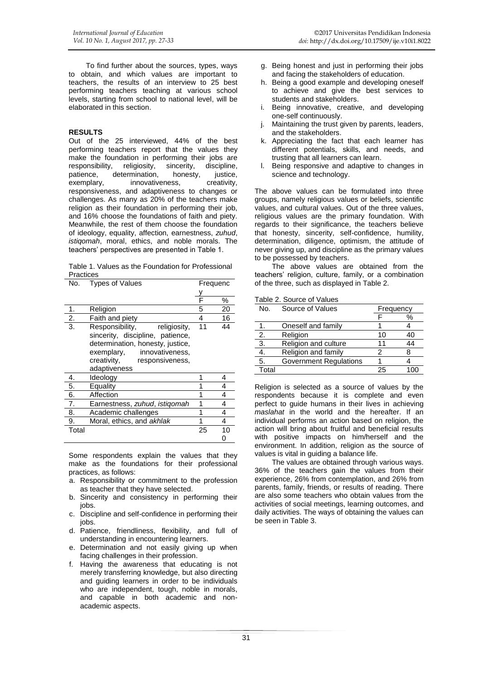### **RESULTS**

Out of the 25 interviewed, 44% of the best performing teachers report that the values they make the foundation in performing their jobs are<br>responsibility, religiosity, sincerity, discipline, responsibility, religiosity, sincerity,<br>patience, determination, honesty, patience, determination, honesty, justice,<br>exemplary, innovativeness, creativity, innovativeness, creativity, responsiveness, and adaptiveness to changes or challenges. As many as 20% of the teachers make religion as their foundation in performing their job, and 16% choose the foundations of faith and piety. Meanwhile, the rest of them choose the foundation of ideology, equality, affection, earnestness, *zuhud*, *istiqomah*, moral, ethics, and noble morals. The teachers' perspectives are presented in Table 1.

Table 1. Values as the Foundation for Professional Practices

| No.           | <b>Types of Values</b>                                                                                                                                                                     | Frequenc |    |
|---------------|--------------------------------------------------------------------------------------------------------------------------------------------------------------------------------------------|----------|----|
|               |                                                                                                                                                                                            |          |    |
|               |                                                                                                                                                                                            |          | %  |
| 1.            | Religion                                                                                                                                                                                   | 5        | 20 |
| $\frac{2}{3}$ | Faith and piety                                                                                                                                                                            | 4        | 16 |
|               | Responsibility,<br>religiosity,<br>sincerity, discipline, patience,<br>determination, honesty, justice,<br>exemplary,<br>innovativeness,<br>creativity,<br>responsiveness,<br>adaptiveness | 11       | 44 |
| 4.            | Ideology                                                                                                                                                                                   |          | 4  |
| 5.            | Equality                                                                                                                                                                                   |          | 4  |
| 6.            | Affection                                                                                                                                                                                  |          | 4  |
| 7.            | Earnestness, zuhud, istigomah                                                                                                                                                              | 1        | 4  |
| 8.            | Academic challenges                                                                                                                                                                        | 1        | 4  |
| 9.            | Moral, ethics, and akhlak                                                                                                                                                                  | 1        | 4  |
| Total         |                                                                                                                                                                                            | 25       | 10 |
|               |                                                                                                                                                                                            |          | O  |

Some respondents explain the values that they make as the foundations for their professional practices, as follows:

- a. Responsibility or commitment to the profession as teacher that they have selected.
- b. Sincerity and consistency in performing their jobs.
- c. Discipline and self-confidence in performing their jobs.
- d. Patience, friendliness, flexibility, and full of understanding in encountering learners.
- e. Determination and not easily giving up when facing challenges in their profession.
- f. Having the awareness that educating is not merely transferring knowledge, but also directing and guiding learners in order to be individuals who are independent, tough, noble in morals, and capable in both academic and nonacademic aspects.
- g. Being honest and just in performing their jobs and facing the stakeholders of education.
- h. Being a good example and developing oneself to achieve and give the best services to students and stakeholders.
- i. Being innovative, creative, and developing one-self continuously.
- Maintaining the trust given by parents, leaders, and the stakeholders.
- k. Appreciating the fact that each learner has different potentials, skills, and needs, and trusting that all learners can learn.
- l. Being responsive and adaptive to changes in science and technology.

The above values can be formulated into three groups, namely religious values or beliefs, scientific values, and cultural values. Out of the three values, religious values are the primary foundation. With regards to their significance, the teachers believe that honesty, sincerity, self-confidence, humility, determination, diligence, optimism, the attitude of never giving up, and discipline as the primary values to be possessed by teachers.

The above values are obtained from the teachers' religion, culture, family, or a combination of the three, such as displayed in Table 2.

Table 2. Source of Values

| i upio 4. ooui oo of vuluoo |                               |    |           |  |  |
|-----------------------------|-------------------------------|----|-----------|--|--|
| No.                         | Source of Values              |    | Frequency |  |  |
|                             |                               |    | ℅         |  |  |
|                             | Oneself and family            |    |           |  |  |
| 2.                          | Religion                      | 10 | 40        |  |  |
| $\overline{3}$ .            | Religion and culture          |    | 44        |  |  |
| 4.                          | Religion and family           |    |           |  |  |
| 5.                          | <b>Government Regulations</b> |    |           |  |  |
| Total                       |                               | 25 | 100       |  |  |

Religion is selected as a source of values by the respondents because it is complete and even perfect to guide humans in their lives in achieving *maslahat* in the world and the hereafter. If an individual performs an action based on religion, the action will bring about fruitful and beneficial results with positive impacts on him/herself and the environment. In addition, religion as the source of values is vital in guiding a balance life.

The values are obtained through various ways. 36% of the teachers gain the values from their experience, 26% from contemplation, and 26% from parents, family, friends, or results of reading. There are also some teachers who obtain values from the activities of social meetings, learning outcomes, and daily activities. The ways of obtaining the values can be seen in Table 3.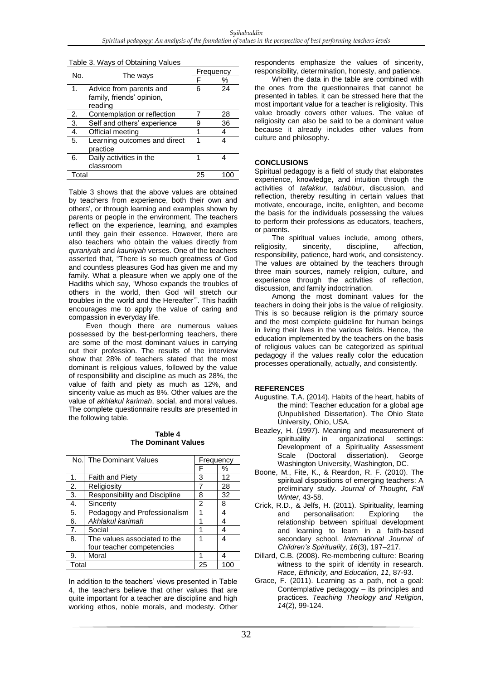| No.              | The ways                     |    | Frequency |  |
|------------------|------------------------------|----|-----------|--|
|                  |                              |    | %         |  |
| 1.               | Advice from parents and      | 6  | 24        |  |
|                  | family, friends' opinion,    |    |           |  |
|                  | reading                      |    |           |  |
| 2.               | Contemplation or reflection  |    | 28        |  |
| $\overline{3}$ . | Self and others' experience  | 9  | 36        |  |
| $\overline{4}$ . | Official meeting             | 1  | 4         |  |
| 5.               | Learning outcomes and direct | 1  |           |  |
|                  | practice                     |    |           |  |
| 6.               | Daily activities in the      | 1  |           |  |
|                  | classroom                    |    |           |  |
| Total            |                              | 25 | 100       |  |
|                  |                              |    |           |  |

Table 3. Ways of Obtaining Values

Table 3 shows that the above values are obtained by teachers from experience, both their own and others', or through learning and examples shown by parents or people in the environment. The teachers reflect on the experience, learning, and examples until they gain their essence. However, there are also teachers who obtain the values directly from *quraniyah* and *kauniyah* verses. One of the teachers asserted that, "There is so much greatness of God and countless pleasures God has given me and my family. What a pleasure when we apply one of the Hadiths which say, 'Whoso expands the troubles of others in the world, then God will stretch our troubles in the world and the Hereafter'". This hadith encourages me to apply the value of caring and compassion in everyday life.

Even though there are numerous values possessed by the best-performing teachers, there are some of the most dominant values in carrying out their profession. The results of the interview show that 28% of teachers stated that the most dominant is religious values, followed by the value of responsibility and discipline as much as 28%, the value of faith and piety as much as 12%, and sincerity value as much as 8%. Other values are the value of *akhlakul karimah*, social, and moral values. The complete questionnaire results are presented in the following table.

### **Table 4 The Dominant Values**

|                | No. The Dominant Values       | Frequency |    |
|----------------|-------------------------------|-----------|----|
|                |                               | F         | ℅  |
| $\mathbf 1$ .  | <b>Faith and Piety</b>        | 3         | 12 |
| 2.             | Religiosity                   |           | 28 |
| 3.             | Responsibility and Discipline | 8         | 32 |
| 4.             | Sincerity                     | 2         | 8  |
| 5.             | Pedagogy and Professionalism  |           | 4  |
| 6.             | Akhlakul karimah              |           | 4  |
| 7 <sub>1</sub> | Social                        | 1         | 4  |
| 8.             | The values associated to the  |           | 4  |
|                | four teacher competencies     |           |    |
| 9.             | Moral                         | 1         | 4  |
| Total          |                               | 25        |    |

In addition to the teachers' views presented in Table 4, the teachers believe that other values that are quite important for a teacher are discipline and high working ethos, noble morals, and modesty. Other

respondents emphasize the values of sincerity, responsibility, determination, honesty, and patience.

When the data in the table are combined with the ones from the questionnaires that cannot be presented in tables, it can be stressed here that the most important value for a teacher is religiosity. This value broadly covers other values. The value of religiosity can also be said to be a dominant value because it already includes other values from culture and philosophy.

### **CONCLUSIONS**

Spiritual pedagogy is a field of study that elaborates experience, knowledge, and intuition through the activities of *tafakkur*, *tadabbur*, discussion, and reflection, thereby resulting in certain values that motivate, encourage, incite, enlighten, and become the basis for the individuals possessing the values to perform their professions as educators, teachers, or parents.

The spiritual values include, among others, religiosity, sincerity, discipline, affection, responsibility, patience, hard work, and consistency. The values are obtained by the teachers through three main sources, namely religion, culture, and experience through the activities of reflection, discussion, and family indoctrination.

Among the most dominant values for the teachers in doing their jobs is the value of religiosity. This is so because religion is the primary source and the most complete guideline for human beings in living their lives in the various fields. Hence, the education implemented by the teachers on the basis of religious values can be categorized as spiritual pedagogy if the values really color the education processes operationally, actually, and consistently.

### **REFERENCES**

- Augustine, T.A. (2014). Habits of the heart, habits of the mind: Teacher education for a global age (Unpublished Dissertation). The Ohio State University, Ohio, USA.
- Beazley, H. (1997). Meaning and measurement of spirituality in organizational settings: Development of a Spirituality Assessment Scale (Doctoral dissertation). George Washington University, Washington, DC.
- Boone, M., Fite, K., & Reardon, R. F. (2010). The spiritual dispositions of emerging teachers: A preliminary study. *Journal of Thought, Fall Winter*, 43-58.
- Crick, R.D., & Jelfs, H. (2011). Spirituality, learning and personalisation: Exploring the relationship between spiritual development and learning to learn in a faith-based secondary school. *International Journal of Children's Spirituality, 16*(3), 197–217.
- Dillard, C.B. (2008). Re-membering culture: Bearing witness to the spirit of identity in research. *Race, Ethnicity, and Education, 11*, 87-93.
- Grace, F. (2011). Learning as a path, not a goal: Contemplative pedagogy – its principles and practices. *Teaching Theology and Religion*, *14*(2), 99-124.